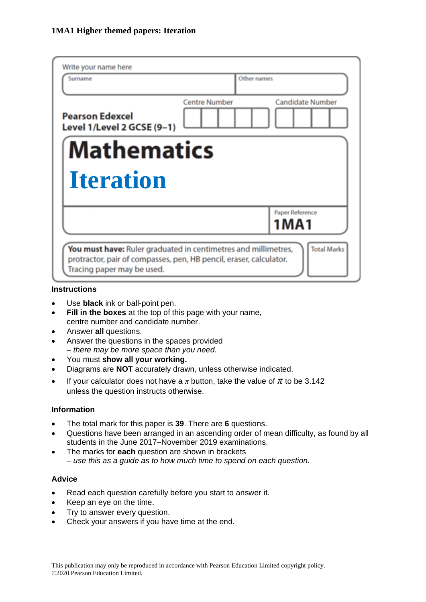| Write your name here                                                                                                                                                                     |                                                 |
|------------------------------------------------------------------------------------------------------------------------------------------------------------------------------------------|-------------------------------------------------|
| Surname                                                                                                                                                                                  | Other names                                     |
| <b>Pearson Edexcel</b><br>Level 1/Level 2 GCSE (9-1)                                                                                                                                     | <b>Centre Number</b><br><b>Candidate Number</b> |
| <b>Mathematics</b>                                                                                                                                                                       |                                                 |
| <b>Iteration</b>                                                                                                                                                                         |                                                 |
|                                                                                                                                                                                          | Paper Reference<br><b>1MA1</b>                  |
| <b>Total Marks</b><br>You must have: Ruler graduated in centimetres and millimetres,<br>protractor, pair of compasses, pen, HB pencil, eraser, calculator.<br>Tracing paper may be used. |                                                 |

### **Instructions**

- Use **black** ink or ball-point pen.
- **Fill in the boxes** at the top of this page with your name. centre number and candidate number.
- Answer **all** questions.
- Answer the questions in the spaces provided *– there may be more space than you need.*
- You must **show all your working.**
- Diagrams are **NOT** accurately drawn, unless otherwise indicated.
- If your calculator does not have a  $\pi$  button, take the value of  $\pi$  to be 3.142 unless the question instructs otherwise.

## **Information**

- The total mark for this paper is **39**. There are **6** questions.
- Questions have been arranged in an ascending order of mean difficulty, as found by all students in the June 2017–November 2019 examinations.
- The marks for **each** question are shown in brackets *– use this as a guide as to how much time to spend on each question.*

## **Advice**

- Read each question carefully before you start to answer it.
- Keep an eye on the time.
- Try to answer every question.
- Check your answers if you have time at the end.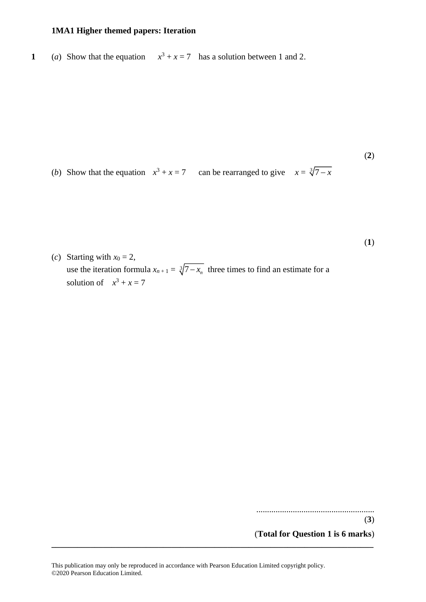**1** (*a*) Show that the equation  $x^3 + x = 7$  has a solution between 1 and 2.

(*b*) Show that the equation  $x^3 + x = 7$  can be rearranged to give  $x = \sqrt[3]{7-x}$ 

(*c*) Starting with  $x_0 = 2$ , use the iteration formula  $x_{n+1} = \sqrt[3]{7} - x_n$  three times to find an estimate for a solution of  $x^3 + x = 7$ 

.......................................................

(**3**)

(**2**)

(**1**)

(**Total for Question 1 is 6 marks**)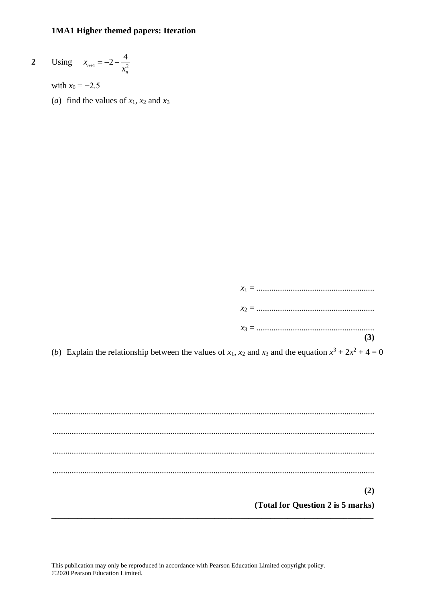2 Using 
$$
x_{n+1} = -2 - \frac{4}{x_n^2}
$$

with  $x_0 = -2.5$ 

(*a*) find the values of  $x_1$ ,  $x_2$  and  $x_3$ 

 $(3)$ 

(b) Explain the relationship between the values of  $x_1$ ,  $x_2$  and  $x_3$  and the equation  $x^3 + 2x^2 + 4 = 0$ 

 $(2)$ (Total for Question 2 is 5 marks)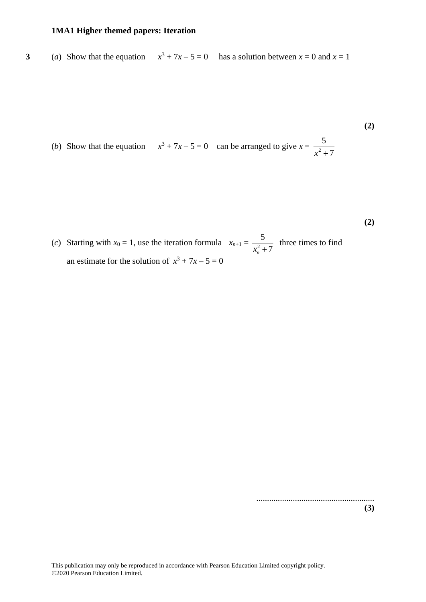## **3** (*a*) Show that the equation  $x^3 + 7x - 5 = 0$  has a solution between  $x = 0$  and  $x = 1$

(*b*) Show that the equation  $x^3 + 7x - 5 = 0$  can be arranged to give  $x = -\frac{2}{3}$ 5  $x^2 + 7$ 

(*c*) Starting with  $x_0 = 1$ , use the iteration formula  $x_{n+1} = -\frac{1}{2}$ 5  $\frac{3}{x_n^2 + 7}$  three times to find an estimate for the solution of  $x^3 + 7x - 5 = 0$ 

> ....................................................... **(3)**

**(2)**

**(2)**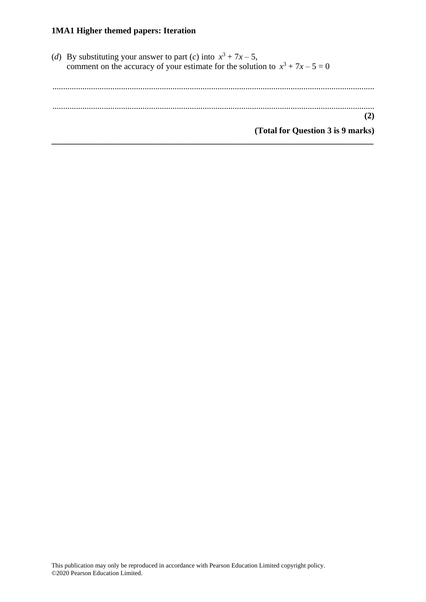(*d*) By substituting your answer to part (*c*) into  $x^3 + 7x - 5$ , comment on the accuracy of your estimate for the solution to  $x^3 + 7x - 5 = 0$ 

...................................................................................................................................................... ...................................................................................................................................................... **(2) (Total for Question 3 is 9 marks)**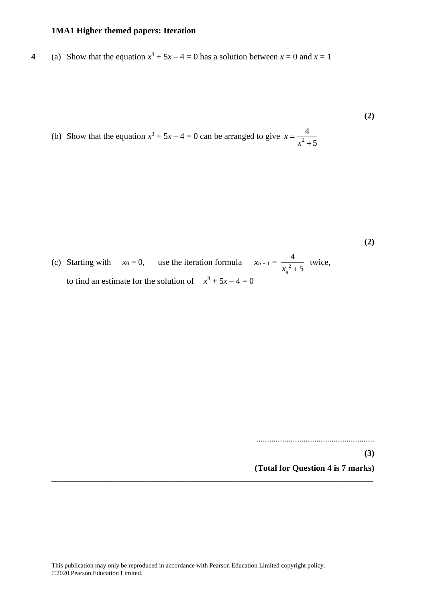**4** (a) Show that the equation  $x^3 + 5x - 4 = 0$  has a solution between  $x = 0$  and  $x = 1$ 

(b) Show that the equation  $x^3 + 5x - 4 = 0$  can be arranged to give  $x = \frac{1}{2}$ 4  $x = \frac{x^2 + 5}{x^2 + 5}$  $=\frac{1}{x^2+1}$ 

(c) Starting with  $x_0 = 0$ , use the iteration formula  $x_{n+1} = \frac{1}{2}$ 4  $\frac{1}{x_n^2+5}$  twice, to find an estimate for the solution of  $x^3 + 5x - 4 = 0$ 

> ....................................................... **(3) (Total for Question 4 is 7 marks)**

**(2)**

**(2)**

*x*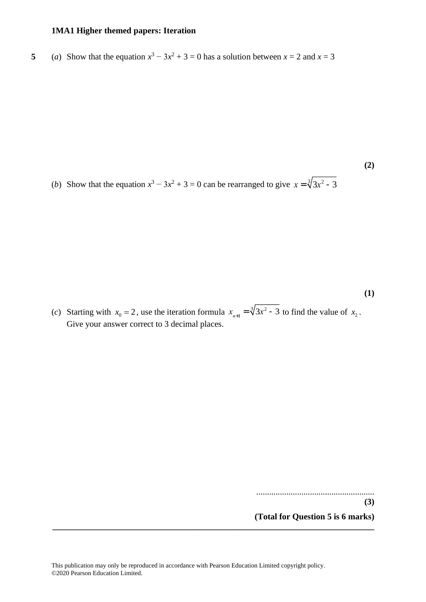**5** (*a*) Show that the equation  $x^3 - 3x^2 + 3 = 0$  has a solution between  $x = 2$  and  $x = 3$ 

(*b*) Show that the equation  $x^3 - 3x^2 + 3 = 0$  can be rearranged to give  $x = \sqrt[3]{3x^2 - 3}$ 

**(1)**

**(2)**

(*c*) Starting with  $x_0 = 2$ , use the iteration formula  $x_{n+1} = \sqrt[3]{3x^2 - 3}$  to find the value of  $x_2$ . Give your answer correct to 3 decimal places.

> ....................................................... **(3)**

## **(Total for Question 5 is 6 marks)**